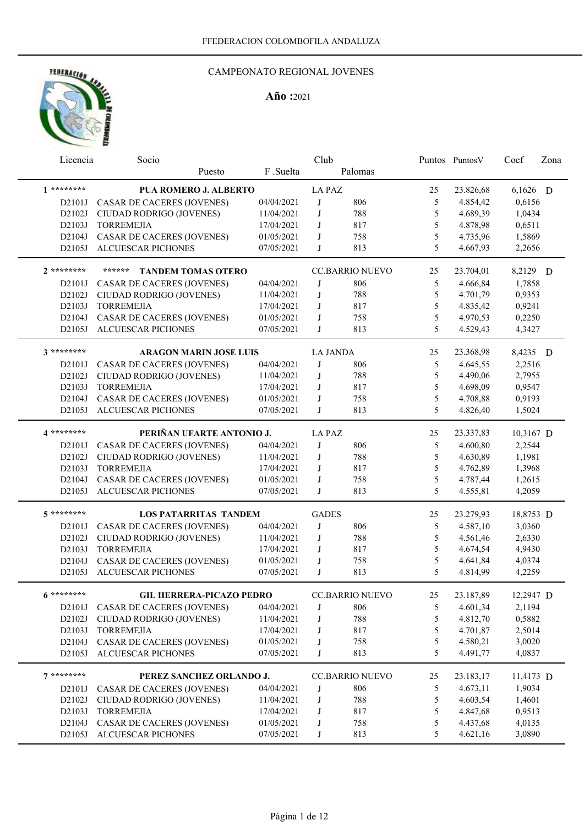

| Licencia     | Socio                               |            | Club            |                        |    | Puntos Puntos V | Coef      | Zona |
|--------------|-------------------------------------|------------|-----------------|------------------------|----|-----------------|-----------|------|
|              | Puesto                              | F.Suelta   |                 | Palomas                |    |                 |           |      |
| $1*********$ | <b>PUA ROMERO J. ALBERTO</b>        |            | <b>LA PAZ</b>   |                        | 25 | 23.826,68       | 6,1626 D  |      |
| D2101J       | CASAR DE CACERES (JOVENES)          | 04/04/2021 | J               | 806                    | 5  | 4.854,42        | 0,6156    |      |
| D2102J       | CIUDAD RODRIGO (JOVENES)            | 11/04/2021 | J               | 788                    | 5  | 4.689,39        | 1,0434    |      |
| D2103J       | <b>TORREMEJIA</b>                   | 17/04/2021 | J               | 817                    | 5  | 4.878,98        | 0,6511    |      |
| D2104J       | <b>CASAR DE CACERES (JOVENES)</b>   | 01/05/2021 | J               | 758                    | 5  | 4.735,96        | 1,5869    |      |
| D2105J       | <b>ALCUESCAR PICHONES</b>           | 07/05/2021 | J               | 813                    | 5  | 4.667,93        | 2,2656    |      |
| $2*******$   | ******<br><b>TANDEM TOMAS OTERO</b> |            |                 | <b>CC.BARRIO NUEVO</b> | 25 | 23.704,01       | 8,2129 D  |      |
| D2101J       | <b>CASAR DE CACERES (JOVENES)</b>   | 04/04/2021 | J               | 806                    | 5  | 4.666,84        | 1,7858    |      |
| D2102J       | CIUDAD RODRIGO (JOVENES)            | 11/04/2021 | J               | 788                    | 5  | 4.701,79        | 0,9353    |      |
| D2103J       | <b>TORREMEJIA</b>                   | 17/04/2021 | J               | 817                    | 5  | 4.835,42        | 0,9241    |      |
| D2104J       | CASAR DE CACERES (JOVENES)          | 01/05/2021 | J               | 758                    | 5  | 4.970,53        | 0,2250    |      |
| D2105J       | <b>ALCUESCAR PICHONES</b>           | 07/05/2021 | J               | 813                    | 5  | 4.529,43        | 4,3427    |      |
| 3 *********  | <b>ARAGON MARIN JOSE LUIS</b>       |            | <b>LA JANDA</b> |                        | 25 | 23.368,98       | 8,4235 D  |      |
| D2101J       | CASAR DE CACERES (JOVENES)          | 04/04/2021 | J               | 806                    | 5  | 4.645,55        | 2,2516    |      |
| D2102J       | CIUDAD RODRIGO (JOVENES)            | 11/04/2021 | J               | 788                    | 5  | 4.490,06        | 2,7955    |      |
| D2103J       | <b>TORREMEJIA</b>                   | 17/04/2021 | J               | 817                    | 5  | 4.698,09        | 0,9547    |      |
| D2104J       | <b>CASAR DE CACERES (JOVENES)</b>   | 01/05/2021 | J               | 758                    | 5  | 4.708,88        | 0,9193    |      |
| D2105J       | ALCUESCAR PICHONES                  | 07/05/2021 | J               | 813                    | 5  | 4.826,40        | 1,5024    |      |
|              |                                     |            |                 |                        |    |                 |           |      |
| 4 *********  | PERIÑAN UFARTE ANTONIO J.           |            | <b>LAPAZ</b>    |                        | 25 | 23.337,83       | 10,3167 D |      |
| D2101J       | <b>CASAR DE CACERES (JOVENES)</b>   | 04/04/2021 | J               | 806                    | 5  | 4.600,80        | 2,2544    |      |
| D2102J       | CIUDAD RODRIGO (JOVENES)            | 11/04/2021 | J               | 788                    | 5  | 4.630,89        | 1,1981    |      |
| D2103J       | <b>TORREMEJIA</b>                   | 17/04/2021 | J               | 817                    | 5  | 4.762,89        | 1,3968    |      |
| D2104J       | <b>CASAR DE CACERES (JOVENES)</b>   | 01/05/2021 | J               | 758                    | 5  | 4.787,44        | 1,2615    |      |
| D2105J       | ALCUESCAR PICHONES                  | 07/05/2021 | J               | 813                    | 5  | 4.555,81        | 4,2059    |      |
| $5********$  | <b>LOS PATARRITAS TANDEM</b>        |            | <b>GADES</b>    |                        | 25 | 23.279,93       | 18,8753 D |      |
| D2101J       | CASAR DE CACERES (JOVENES)          | 04/04/2021 | J               | 806                    | 5  | 4.587,10        | 3,0360    |      |
| D2102J       | CIUDAD RODRIGO (JOVENES)            | 11/04/2021 | J               | 788                    | 5  | 4.561,46        | 2,6330    |      |
| D2103J       | <b>TORREMEJIA</b>                   | 17/04/2021 | J               | 817                    | 5  | 4.674,54        | 4,9430    |      |
| D2104J       | CASAR DE CACERES (JOVENES)          | 01/05/2021 | J               | 758                    | 5  | 4.641,84        | 4,0374    |      |
| D2105J       | <b>ALCUESCAR PICHONES</b>           | 07/05/2021 | J               | 813                    | 5  | 4.814,99        | 4,2259    |      |
| $6*******$   | <b>GIL HERRERA-PICAZO PEDRO</b>     |            |                 | <b>CC.BARRIO NUEVO</b> | 25 | 23.187,89       | 12,2947 D |      |
| D2101J       | CASAR DE CACERES (JOVENES)          | 04/04/2021 | J               | 806                    | 5  | 4.601,34        | 2,1194    |      |
| D2102J       | CIUDAD RODRIGO (JOVENES)            | 11/04/2021 | J               | 788                    | 5  | 4.812,70        | 0,5882    |      |
| D2103J       | <b>TORREMEJIA</b>                   | 17/04/2021 | J               | 817                    | 5  | 4.701,87        | 2,5014    |      |
| D2104J       | <b>CASAR DE CACERES (JOVENES)</b>   | 01/05/2021 | J               | 758                    | 5  | 4.580,21        | 3,0020    |      |
| D2105J       | <b>ALCUESCAR PICHONES</b>           | 07/05/2021 | J               | 813                    | 5  | 4.491,77        | 4,0837    |      |
| $7*******$   |                                     |            |                 |                        |    |                 |           |      |
|              | PEREZ SANCHEZ ORLANDO J.            |            |                 | <b>CC.BARRIO NUEVO</b> | 25 | 23.183,17       | 11,4173 D |      |
| D2101J       | CASAR DE CACERES (JOVENES)          | 04/04/2021 | J               | 806                    | 5  | 4.673,11        | 1,9034    |      |
| D2102J       | CIUDAD RODRIGO (JOVENES)            | 11/04/2021 | J               | 788                    | 5  | 4.603,54        | 1,4601    |      |
| D2103J       | <b>TORREMEJIA</b>                   | 17/04/2021 | J               | 817                    | 5  | 4.847,68        | 0,9513    |      |
| D2104J       | <b>CASAR DE CACERES (JOVENES)</b>   | 01/05/2021 | J               | 758                    | 5  | 4.437,68        | 4,0135    |      |
| D2105J       | ALCUESCAR PICHONES                  | 07/05/2021 | J               | 813                    | 5  | 4.621,16        | 3,0890    |      |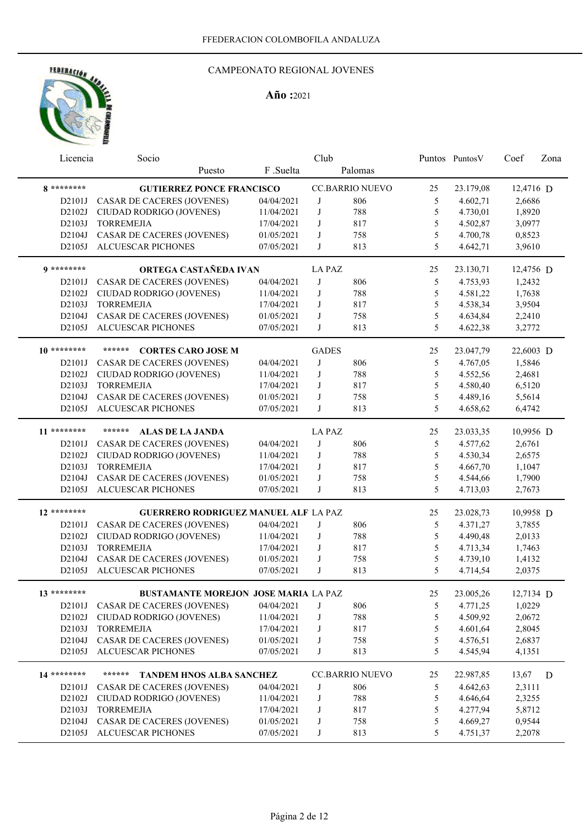

| Licencia      | Socio                                       |            | Club          |                        |               | Puntos Puntos V | Coef      | Zona |
|---------------|---------------------------------------------|------------|---------------|------------------------|---------------|-----------------|-----------|------|
|               | Puesto                                      | F .Suelta  |               | Palomas                |               |                 |           |      |
| 8 *********   | <b>GUTIERREZ PONCE FRANCISCO</b>            |            |               | <b>CC.BARRIO NUEVO</b> | 25            | 23.179,08       | 12,4716 D |      |
| D2101J        | CASAR DE CACERES (JOVENES)                  | 04/04/2021 | J             | 806                    | 5             | 4.602,71        | 2,6686    |      |
| D2102J        | CIUDAD RODRIGO (JOVENES)                    | 11/04/2021 | J             | 788                    | 5             | 4.730,01        | 1,8920    |      |
| D2103J        | <b>TORREMEJIA</b>                           | 17/04/2021 | J             | 817                    | 5             | 4.502,87        | 3,0977    |      |
| D2104J        | CASAR DE CACERES (JOVENES)                  | 01/05/2021 | J             | 758                    | 5             | 4.700,78        | 0,8523    |      |
| D2105J        | <b>ALCUESCAR PICHONES</b>                   | 07/05/2021 | J             | 813                    | 5             | 4.642,71        | 3,9610    |      |
| $0*******$    | ORTEGA CASTAÑEDA IVAN                       |            | <b>LA PAZ</b> |                        | 25            | 23.130,71       | 12,4756 D |      |
| D2101J        | <b>CASAR DE CACERES (JOVENES)</b>           | 04/04/2021 | J             | 806                    | 5             | 4.753,93        | 1,2432    |      |
| D2102J        | CIUDAD RODRIGO (JOVENES)                    | 11/04/2021 | J             | 788                    | $\mathfrak s$ | 4.581,22        | 1,7638    |      |
| D2103J        | <b>TORREMEJIA</b>                           | 17/04/2021 | J             | 817                    | 5             | 4.538,34        | 3,9504    |      |
| D2104J        | CASAR DE CACERES (JOVENES)                  | 01/05/2021 | J             | 758                    | 5             | 4.634,84        | 2,2410    |      |
| D2105J        | ALCUESCAR PICHONES                          | 07/05/2021 | J             | 813                    | 5             | 4.622,38        |           |      |
|               |                                             |            |               |                        |               |                 | 3,2772    |      |
| $10*******$   | ******<br><b>CORTES CARO JOSE M</b>         |            | <b>GADES</b>  |                        | 25            | 23.047,79       | 22,6003 D |      |
| D2101J        | <b>CASAR DE CACERES (JOVENES)</b>           | 04/04/2021 | J             | 806                    | 5             | 4.767,05        | 1,5846    |      |
| D2102J        | CIUDAD RODRIGO (JOVENES)                    | 11/04/2021 | J             | 788                    | 5             | 4.552,56        | 2,4681    |      |
| D2103J        | <b>TORREMEJIA</b>                           | 17/04/2021 | J             | 817                    | 5             | 4.580,40        | 6,5120    |      |
| D2104J        | CASAR DE CACERES (JOVENES)                  | 01/05/2021 | J             | 758                    | 5             | 4.489,16        | 5,5614    |      |
| D2105J        | ALCUESCAR PICHONES                          | 07/05/2021 | J             | 813                    | 5             | 4.658,62        | 6,4742    |      |
| $11******$    | ******<br><b>ALAS DE LA JANDA</b>           |            | <b>LA PAZ</b> |                        | 25            | 23.033,35       | 10,9956 D |      |
| D2101J        | <b>CASAR DE CACERES (JOVENES)</b>           | 04/04/2021 | J             | 806                    | 5             | 4.577,62        | 2,6761    |      |
| D2102J        | CIUDAD RODRIGO (JOVENES)                    | 11/04/2021 | J             | 788                    | 5             | 4.530,34        | 2,6575    |      |
| D2103J        | <b>TORREMEJIA</b>                           | 17/04/2021 | J             | 817                    | 5             | 4.667,70        | 1,1047    |      |
| D2104J        | <b>CASAR DE CACERES (JOVENES)</b>           | 01/05/2021 | J             | 758                    | 5             | 4.544,66        | 1,7900    |      |
| D2105J        | <b>ALCUESCAR PICHONES</b>                   | 07/05/2021 | J             | 813                    | 5             | 4.713,03        | 2,7673    |      |
|               |                                             |            |               |                        |               |                 |           |      |
| $12$ ******** | <b>GUERRERO RODRIGUEZ MANUEL ALF LA PAZ</b> |            |               |                        | 25            | 23.028,73       | 10,9958 D |      |
| D2101J        | CASAR DE CACERES (JOVENES)                  | 04/04/2021 | J             | 806                    | 5             | 4.371,27        | 3,7855    |      |
| D2102J        | CIUDAD RODRIGO (JOVENES)                    | 11/04/2021 | J             | 788                    | 5             | 4.490,48        | 2,0133    |      |
| D2103J        | <b>TORREMEJIA</b>                           | 17/04/2021 | J             | 817                    | 5             | 4.713,34        | 1,7463    |      |
| D2104J        | <b>CASAR DE CACERES (JOVENES)</b>           | 01/05/2021 | J             | 758                    | 5             | 4.739,10        | 1,4132    |      |
| D2105J        | <b>ALCUESCAR PICHONES</b>                   | 07/05/2021 | J             | 813                    | 5             | 4.714,54        | 2,0375    |      |
| 13 ********   | BUSTAMANTE MOREJON JOSE MARIA LA PAZ        |            |               |                        | 25            | 23.005,26       | 12,7134 D |      |
|               | D2101J CASAR DE CACERES (JOVENES)           | 04/04/2021 | J             | 806                    | 5             | 4.771,25        | 1,0229    |      |
| D2102J        | CIUDAD RODRIGO (JOVENES)                    | 11/04/2021 | J             | 788                    | 5             | 4.509,92        | 2,0672    |      |
| D2103J        | <b>TORREMEJIA</b>                           | 17/04/2021 | J             | 817                    | 5             | 4.601,64        | 2,8045    |      |
| D2104J        | <b>CASAR DE CACERES (JOVENES)</b>           | 01/05/2021 | J             | 758                    | 5             | 4.576,51        | 2,6837    |      |
| D2105J        | <b>ALCUESCAR PICHONES</b>                   | 07/05/2021 | J             | 813                    | 5             | 4.545,94        | 4,1351    |      |
|               |                                             |            |               |                        |               |                 |           |      |
| 14 ********   | ******<br><b>TANDEM HNOS ALBA SANCHEZ</b>   |            |               | <b>CC.BARRIO NUEVO</b> | 25            | 22.987,85       | 13,67     | D    |
| D2101J        | <b>CASAR DE CACERES (JOVENES)</b>           | 04/04/2021 | J             | 806                    | 5             | 4.642,63        | 2,3111    |      |
| D2102J        | CIUDAD RODRIGO (JOVENES)                    | 11/04/2021 | J             | 788                    | 5             | 4.646,64        | 2,3255    |      |
| D2103J        | <b>TORREMEJIA</b>                           | 17/04/2021 | J             | 817                    | 5             | 4.277,94        | 5,8712    |      |
| D2104J        | CASAR DE CACERES (JOVENES)                  | 01/05/2021 | J             | 758                    | 5             | 4.669,27        | 0,9544    |      |
|               | D2105J ALCUESCAR PICHONES                   | 07/05/2021 | J             | 813                    | 5             | 4.751,37        | 2,2078    |      |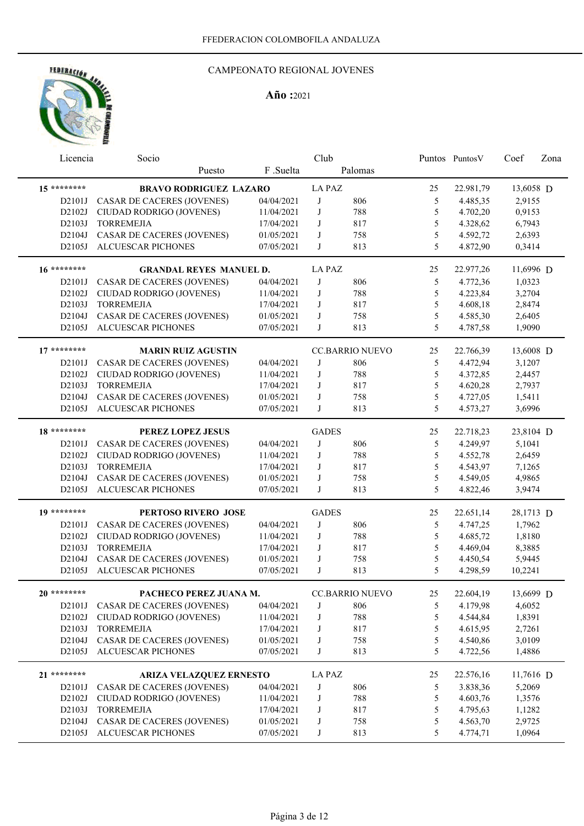

| Licencia    | Socio                             |            | Club          |                        |    | Puntos PuntosV | Coef      | Zona |
|-------------|-----------------------------------|------------|---------------|------------------------|----|----------------|-----------|------|
|             | Puesto                            | F.Suelta   |               | Palomas                |    |                |           |      |
| $15******$  | <b>BRAVO RODRIGUEZ LAZARO</b>     |            | <b>LA PAZ</b> |                        | 25 | 22.981,79      | 13,6058 D |      |
| D2101J      | CASAR DE CACERES (JOVENES)        | 04/04/2021 | J             | 806                    | 5  | 4.485,35       | 2,9155    |      |
| D2102J      | CIUDAD RODRIGO (JOVENES)          | 11/04/2021 | J             | 788                    | 5  | 4.702,20       | 0,9153    |      |
| D2103J      | <b>TORREMEJIA</b>                 | 17/04/2021 | J             | 817                    | 5  | 4.328,62       | 6,7943    |      |
| D2104J      | CASAR DE CACERES (JOVENES)        | 01/05/2021 | J             | 758                    | 5  | 4.592,72       | 2,6393    |      |
| D2105J      | <b>ALCUESCAR PICHONES</b>         | 07/05/2021 | J             | 813                    | 5  | 4.872,90       | 0,3414    |      |
|             |                                   |            |               |                        |    |                |           |      |
| $16*******$ | <b>GRANDAL REYES MANUEL D.</b>    |            | <b>LA PAZ</b> |                        | 25 | 22.977,26      | 11,6996 D |      |
| D2101J      | <b>CASAR DE CACERES (JOVENES)</b> | 04/04/2021 | J             | 806                    | 5  | 4.772,36       | 1,0323    |      |
| D2102J      | CIUDAD RODRIGO (JOVENES)          | 11/04/2021 | J             | 788                    | 5  | 4.223,84       | 3,2704    |      |
| D2103J      | <b>TORREMEJIA</b>                 | 17/04/2021 | J             | 817                    | 5  | 4.608,18       | 2,8474    |      |
| D2104J      | <b>CASAR DE CACERES (JOVENES)</b> | 01/05/2021 | J             | 758                    | 5  | 4.585,30       | 2,6405    |      |
| D2105J      | ALCUESCAR PICHONES                | 07/05/2021 | J             | 813                    | 5  | 4.787,58       | 1,9090    |      |
| $17******$  | <b>MARIN RUIZ AGUSTIN</b>         |            |               | <b>CC.BARRIO NUEVO</b> | 25 | 22.766,39      | 13,6008 D |      |
| D2101J      | <b>CASAR DE CACERES (JOVENES)</b> | 04/04/2021 | J             | 806                    | 5  | 4.472,94       | 3,1207    |      |
| D2102J      | CIUDAD RODRIGO (JOVENES)          | 11/04/2021 | J             | 788                    | 5  | 4.372,85       | 2,4457    |      |
| D2103J      | <b>TORREMEJIA</b>                 | 17/04/2021 | J             | 817                    | 5  | 4.620,28       | 2,7937    |      |
| D2104J      | <b>CASAR DE CACERES (JOVENES)</b> | 01/05/2021 | J             | 758                    | 5  | 4.727,05       | 1,5411    |      |
| D2105J      | <b>ALCUESCAR PICHONES</b>         | 07/05/2021 | J             | 813                    | 5  | 4.573,27       | 3,6996    |      |
|             |                                   |            |               |                        |    |                |           |      |
| 18 ******** | PEREZ LOPEZ JESUS                 |            | <b>GADES</b>  |                        | 25 | 22.718,23      | 23,8104 D |      |
| D2101J      | <b>CASAR DE CACERES (JOVENES)</b> | 04/04/2021 | J             | 806                    | 5  | 4.249,97       | 5,1041    |      |
| D2102J      | CIUDAD RODRIGO (JOVENES)          | 11/04/2021 | J             | 788                    | 5  | 4.552,78       | 2,6459    |      |
| D2103J      | <b>TORREMEJIA</b>                 | 17/04/2021 | J             | 817                    | 5  | 4.543,97       | 7,1265    |      |
| D2104J      | <b>CASAR DE CACERES (JOVENES)</b> | 01/05/2021 | J             | 758                    | 5  | 4.549,05       | 4,9865    |      |
| D2105J      | <b>ALCUESCAR PICHONES</b>         | 07/05/2021 | J             | 813                    | 5  | 4.822,46       | 3,9474    |      |
| 19 ******** |                                   |            |               |                        |    |                |           |      |
|             | PERTOSO RIVERO JOSE               |            | <b>GADES</b>  |                        | 25 | 22.651,14      | 28,1713 D |      |
| D2101J      | CASAR DE CACERES (JOVENES)        | 04/04/2021 | J             | 806                    | 5  | 4.747,25       | 1,7962    |      |
| D2102J      | CIUDAD RODRIGO (JOVENES)          | 11/04/2021 | J             | 788                    | 5  | 4.685,72       | 1,8180    |      |
| D2103J      | <b>TORREMEJIA</b>                 | 17/04/2021 | J             | 817                    | 5  | 4.469,04       | 8,3885    |      |
| D2104J      | CASAR DE CACERES (JOVENES)        | 01/05/2021 | J             | 758                    | 5  | 4.450,54       | 5,9445    |      |
| D2105J      | ALCUESCAR PICHONES                | 07/05/2021 | J             | 813                    | 5  | 4.298,59       | 10,2241   |      |
| $20*******$ | PACHECO PEREZ JUANA M.            |            |               | <b>CC.BARRIO NUEVO</b> | 25 | 22.604,19      | 13,6699 D |      |
|             | D2101J CASAR DE CACERES (JOVENES) | 04/04/2021 | J             | 806                    | 5  | 4.179,98       | 4,6052    |      |
|             | D2102J CIUDAD RODRIGO (JOVENES)   | 11/04/2021 | J             | 788                    | 5  | 4.544,84       | 1,8391    |      |
|             | D2103J TORREMEJIA                 | 17/04/2021 | J             | 817                    | 5  | 4.615,95       | 2,7261    |      |
|             | D2104J CASAR DE CACERES (JOVENES) | 01/05/2021 | J             | 758                    | 5  | 4.540,86       | 3,0109    |      |
|             | D2105J ALCUESCAR PICHONES         | 07/05/2021 | J             | 813                    | 5  | 4.722,56       | 1,4886    |      |
| 21 ******** | ARIZA VELAZQUEZ ERNESTO           |            | <b>LA PAZ</b> |                        | 25 | 22.576,16      | 11,7616 D |      |
| D2101J      | <b>CASAR DE CACERES (JOVENES)</b> | 04/04/2021 | J             | 806                    | 5  | 3.838,36       | 5,2069    |      |
| D2102J      | CIUDAD RODRIGO (JOVENES)          | 11/04/2021 | J             | 788                    | 5  | 4.603,76       | 1,3576    |      |
| D2103J      | <b>TORREMEJIA</b>                 | 17/04/2021 | J             | 817                    | 5  | 4.795,63       | 1,1282    |      |
| D2104J      | CASAR DE CACERES (JOVENES)        | 01/05/2021 | J             | 758                    | 5  | 4.563,70       | 2,9725    |      |
|             | D2105J ALCUESCAR PICHONES         | 07/05/2021 | J             | 813                    | 5  | 4.774,71       | 1,0964    |      |
|             |                                   |            |               |                        |    |                |           |      |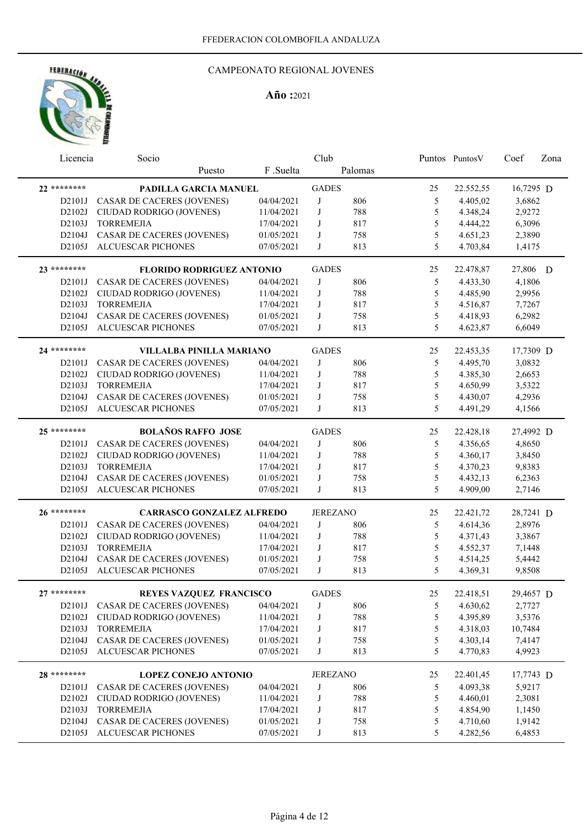

| Licencia    | Socio                             |            | Club         |                 |    | Puntos PuntosV | Coef      | Zona |
|-------------|-----------------------------------|------------|--------------|-----------------|----|----------------|-----------|------|
|             | Puesto                            | F.Suelta   |              | Palomas         |    |                |           |      |
| 22 ******** | PADILLA GARCIA MANUEL             |            | <b>GADES</b> |                 | 25 | 22.552,55      | 16,7295 D |      |
| D2101J      | <b>CASAR DE CACERES (JOVENES)</b> | 04/04/2021 | J            | 806             | 5  | 4.405,02       | 3,6862    |      |
| D2102J      | CIUDAD RODRIGO (JOVENES)          | 11/04/2021 | J            | 788             | 5  | 4.348,24       | 2,9272    |      |
| D2103J      | <b>TORREMEJIA</b>                 | 17/04/2021 | J            | 817             | 5  | 4.444,22       | 6,3096    |      |
| D2104J      | CASAR DE CACERES (JOVENES)        | 01/05/2021 | J            | 758             | 5  | 4.651,23       | 2,3890    |      |
| D2105J      | ALCUESCAR PICHONES                | 07/05/2021 | J            | 813             | 5  | 4.703,84       | 1,4175    |      |
| 23 ******** | <b>FLORIDO RODRIGUEZ ANTONIO</b>  |            | <b>GADES</b> |                 | 25 | 22.478,87      | 27,806 D  |      |
| D2101J      | <b>CASAR DE CACERES (JOVENES)</b> | 04/04/2021 | J            | 806             | 5  | 4.433,30       | 4,1806    |      |
| D2102J      | CIUDAD RODRIGO (JOVENES)          | 11/04/2021 | J            | 788             | 5  | 4.485,90       | 2,9956    |      |
| D2103J      | <b>TORREMEJIA</b>                 | 17/04/2021 | J            | 817             | 5  | 4.516,87       | 7,7267    |      |
| D2104J      | CASAR DE CACERES (JOVENES)        | 01/05/2021 | J            | 758             | 5  | 4.418,93       | 6,2982    |      |
| D2105J      | ALCUESCAR PICHONES                | 07/05/2021 | J            | 813             | 5  | 4.623,87       | 6,6049    |      |
|             |                                   |            |              |                 |    |                |           |      |
| 24 ******** | VILLALBA PINILLA MARIANO          |            | <b>GADES</b> |                 | 25 | 22.453,35      | 17,7309 D |      |
| D2101J      | <b>CASAR DE CACERES (JOVENES)</b> | 04/04/2021 | J            | 806             | 5  | 4.495,70       | 3,0832    |      |
| D2102J      | CIUDAD RODRIGO (JOVENES)          | 11/04/2021 | J            | 788             | 5  | 4.385,30       | 2,6653    |      |
| D2103J      | <b>TORREMEJIA</b>                 | 17/04/2021 | J            | 817             | 5  | 4.650,99       | 3,5322    |      |
| D2104J      | CASAR DE CACERES (JOVENES)        | 01/05/2021 | J            | 758             | 5  | 4.430,07       | 4,2936    |      |
| D2105J      | ALCUESCAR PICHONES                | 07/05/2021 | J            | 813             | 5  | 4.491,29       | 4,1566    |      |
| 25 ******** | <b>BOLAÑOS RAFFO JOSE</b>         |            | <b>GADES</b> |                 | 25 | 22.428,18      | 27,4992 D |      |
| D2101J      | CASAR DE CACERES (JOVENES)        | 04/04/2021 | J            | 806             | 5  | 4.356,65       | 4,8650    |      |
| D2102J      | CIUDAD RODRIGO (JOVENES)          | 11/04/2021 | J            | 788             | 5  | 4.360,17       | 3,8450    |      |
| D2103J      | <b>TORREMEJIA</b>                 | 17/04/2021 | J            | 817             | 5  | 4.370,23       | 9,8383    |      |
| D2104J      | <b>CASAR DE CACERES (JOVENES)</b> | 01/05/2021 | J            | 758             | 5  | 4.432,13       | 6,2363    |      |
| D2105J      | <b>ALCUESCAR PICHONES</b>         | 07/05/2021 | J            | 813             | 5  | 4.909,00       | 2,7146    |      |
|             |                                   |            |              |                 |    |                |           |      |
| 26 ******** | <b>CARRASCO GONZALEZ ALFREDO</b>  |            |              | <b>JEREZANO</b> | 25 | 22.421,72      | 28,7241 D |      |
| D2101J      | <b>CASAR DE CACERES (JOVENES)</b> | 04/04/2021 | J            | 806             | 5  | 4.614,36       | 2,8976    |      |
| D2102J      | CIUDAD RODRIGO (JOVENES)          | 11/04/2021 | J            | 788             | 5  | 4.371,43       | 3,3867    |      |
| D2103J      | <b>TORREMEJIA</b>                 | 17/04/2021 | J            | 817             | 5  | 4.552,37       | 7,1448    |      |
| D2104J      | CASAR DE CACERES (JOVENES)        | 01/05/2021 | J            | 758             | 5  | 4.514,25       | 5,4442    |      |
| D2105J      | <b>ALCUESCAR PICHONES</b>         | 07/05/2021 | J            | 813             | 5  | 4.369,31       | 9,8508    |      |
| $27******$  | REYES VAZQUEZ FRANCISCO           |            | <b>GADES</b> |                 | 25 | 22.418,51      | 29,4657 D |      |
|             | D2101J CASAR DE CACERES (JOVENES) | 04/04/2021 | J            | 806             | 5  | 4.630,62       | 2,7727    |      |
| D2102J      | CIUDAD RODRIGO (JOVENES)          | 11/04/2021 | J            | 788             | 5  | 4.395,89       | 3,5376    |      |
| D2103J      | <b>TORREMEJIA</b>                 | 17/04/2021 | J            | 817             | 5  | 4.318,03       | 10,7484   |      |
| D2104J      | CASAR DE CACERES (JOVENES)        | 01/05/2021 | J            | 758             | 5  | 4.303,14       | 7,4147    |      |
| D2105J      | ALCUESCAR PICHONES                | 07/05/2021 | J            | 813             | 5  | 4.770,83       | 4,9923    |      |
|             |                                   |            |              |                 |    |                |           |      |
| 28 ******** | <b>LOPEZ CONEJO ANTONIO</b>       |            |              | <b>JEREZANO</b> | 25 | 22.401,45      | 17,7743 D |      |
| D2101J      | <b>CASAR DE CACERES (JOVENES)</b> | 04/04/2021 | J            | 806             | 5  | 4.093,38       | 5,9217    |      |
| D2102J      | CIUDAD RODRIGO (JOVENES)          | 11/04/2021 | J            | 788             | 5  | 4.460,01       | 2,3081    |      |
| D2103J      | <b>TORREMEJIA</b>                 | 17/04/2021 | J            | 817             | 5  | 4.854,90       | 1,1450    |      |
| D2104J      | CASAR DE CACERES (JOVENES)        | 01/05/2021 | J            | 758             | 5  | 4.710,60       | 1,9142    |      |
| D2105J      | ALCUESCAR PICHONES                | 07/05/2021 | J            | 813             | 5  | 4.282,56       | 6,4853    |      |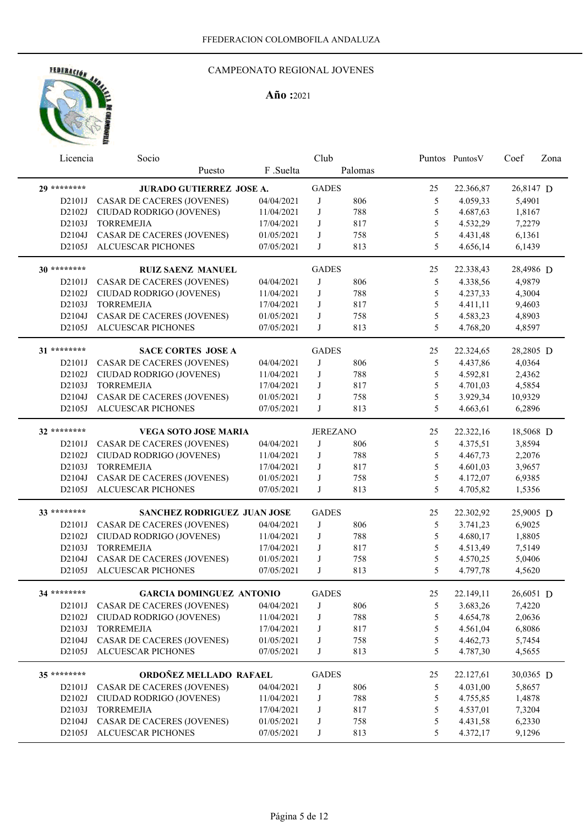

| Licencia     | Socio                             |            | Club            |         |               | Puntos Puntos V | Coef      | Zona |
|--------------|-----------------------------------|------------|-----------------|---------|---------------|-----------------|-----------|------|
|              | Puesto                            | F.Suelta   |                 | Palomas |               |                 |           |      |
| 29 ********  | <b>JURADO GUTIERREZ JOSE A.</b>   |            | <b>GADES</b>    |         | 25            | 22.366,87       | 26,8147 D |      |
| D2101J       | CASAR DE CACERES (JOVENES)        | 04/04/2021 | J               | 806     | 5             | 4.059,33        | 5,4901    |      |
| D2102J       | CIUDAD RODRIGO (JOVENES)          | 11/04/2021 | $\bf J$         | 788     | 5             | 4.687,63        | 1,8167    |      |
| D2103J       | <b>TORREMEJIA</b>                 | 17/04/2021 | J               | 817     | 5             | 4.532,29        | 7,2279    |      |
| D2104J       | CASAR DE CACERES (JOVENES)        | 01/05/2021 | J               | 758     | $\mathfrak s$ | 4.431,48        | 6,1361    |      |
| D2105J       | <b>ALCUESCAR PICHONES</b>         | 07/05/2021 | J               | 813     | 5             | 4.656,14        | 6,1439    |      |
| 30 ********* | <b>RUIZ SAENZ MANUEL</b>          |            | <b>GADES</b>    |         | 25            | 22.338,43       | 28,4986 D |      |
| D2101J       | CASAR DE CACERES (JOVENES)        | 04/04/2021 | J               | 806     | 5             | 4.338,56        | 4,9879    |      |
| D2102J       | CIUDAD RODRIGO (JOVENES)          | 11/04/2021 | J               | 788     | 5             | 4.237,33        | 4,3004    |      |
| D2103J       | <b>TORREMEJIA</b>                 | 17/04/2021 | J               | 817     | 5             |                 |           |      |
|              |                                   |            |                 |         |               | 4.411,11        | 9,4603    |      |
| D2104J       | <b>CASAR DE CACERES (JOVENES)</b> | 01/05/2021 | J               | 758     | 5             | 4.583,23        | 4,8903    |      |
| D2105J       | ALCUESCAR PICHONES                | 07/05/2021 | J               | 813     | 5             | 4.768,20        | 4,8597    |      |
| 31 ********  | <b>SACE CORTES JOSE A</b>         |            | <b>GADES</b>    |         | 25            | 22.324,65       | 28,2805 D |      |
| D2101J       | <b>CASAR DE CACERES (JOVENES)</b> | 04/04/2021 | J               | 806     | 5             | 4.437,86        | 4,0364    |      |
| D2102J       | CIUDAD RODRIGO (JOVENES)          | 11/04/2021 | J               | 788     | 5             | 4.592,81        | 2,4362    |      |
| D2103J       | <b>TORREMEJIA</b>                 | 17/04/2021 | J               | 817     | 5             | 4.701,03        | 4,5854    |      |
| D2104J       | <b>CASAR DE CACERES (JOVENES)</b> | 01/05/2021 | J               | 758     | 5             | 3.929,34        | 10,9329   |      |
| D2105J       | <b>ALCUESCAR PICHONES</b>         | 07/05/2021 | J               | 813     | 5             | 4.663,61        | 6,2896    |      |
| 32 ********  | <b>VEGA SOTO JOSE MARIA</b>       |            | <b>JEREZANO</b> |         | 25            | 22.322,16       | 18,5068 D |      |
| D2101J       | CASAR DE CACERES (JOVENES)        | 04/04/2021 | J               | 806     | 5             | 4.375,51        | 3,8594    |      |
| D2102J       | CIUDAD RODRIGO (JOVENES)          | 11/04/2021 | J               | 788     | 5             | 4.467,73        | 2,2076    |      |
| D2103J       | <b>TORREMEJIA</b>                 | 17/04/2021 | J               | 817     | 5             | 4.601,03        | 3,9657    |      |
| D2104J       |                                   |            | J               | 758     | 5             | 4.172,07        | 6,9385    |      |
|              | <b>CASAR DE CACERES (JOVENES)</b> | 01/05/2021 | J               |         | 5             |                 |           |      |
| D2105J       | <b>ALCUESCAR PICHONES</b>         | 07/05/2021 |                 | 813     |               | 4.705,82        | 1,5356    |      |
| 33 ********  | SANCHEZ RODRIGUEZ JUAN JOSE       |            | <b>GADES</b>    |         | 25            | 22.302,92       | 25,9005 D |      |
| D2101J       | CASAR DE CACERES (JOVENES)        | 04/04/2021 | J               | 806     | 5             | 3.741,23        | 6,9025    |      |
| D2102J       | CIUDAD RODRIGO (JOVENES)          | 11/04/2021 | J               | 788     | 5             | 4.680,17        | 1,8805    |      |
| D2103J       | <b>TORREMEJIA</b>                 | 17/04/2021 | J               | 817     | 5             | 4.513,49        | 7,5149    |      |
| D2104J       | CASAR DE CACERES (JOVENES)        | 01/05/2021 | J               | 758     | 5             | 4.570,25        | 5,0406    |      |
| D2105J       | ALCUESCAR PICHONES                | 07/05/2021 | J               | 813     | 5             | 4.797,78        | 4,5620    |      |
| 34 ********* | <b>GARCIA DOMINGUEZ ANTONIO</b>   |            | <b>GADES</b>    |         | 25            | 22.149,11       | 26,6051 D |      |
|              | D2101J CASAR DE CACERES (JOVENES) | 04/04/2021 | J               | 806     | 5             | 3.683,26        | 7,4220    |      |
| D2102J       | CIUDAD RODRIGO (JOVENES)          | 11/04/2021 | J               | 788     | $\mathfrak s$ | 4.654,78        | 2,0636    |      |
| D2103J       | <b>TORREMEJIA</b>                 | 17/04/2021 | J               | 817     | 5             | 4.561,04        | 6,8086    |      |
| D2104J       | CASAR DE CACERES (JOVENES)        | 01/05/2021 | J               | 758     | 5             | 4.462,73        | 5,7454    |      |
| D2105J       | ALCUESCAR PICHONES                | 07/05/2021 | J               | 813     | 5             | 4.787,30        | 4,5655    |      |
|              |                                   |            |                 |         |               |                 |           |      |
| 35 ********  | ORDOÑEZ MELLADO RAFAEL            |            | <b>GADES</b>    |         | 25            | 22.127,61       | 30,0365 D |      |
| D2101J       | <b>CASAR DE CACERES (JOVENES)</b> | 04/04/2021 | J               | 806     | 5             | 4.031,00        | 5,8657    |      |
| D2102J       | CIUDAD RODRIGO (JOVENES)          | 11/04/2021 | J               | 788     | 5             | 4.755,85        | 1,4878    |      |
| D2103J       | <b>TORREMEJIA</b>                 | 17/04/2021 | J               | 817     | 5             | 4.537,01        | 7,3204    |      |
| D2104J       | CASAR DE CACERES (JOVENES)        | 01/05/2021 | J               | 758     | 5             | 4.431,58        | 6,2330    |      |
| D2105J       | ALCUESCAR PICHONES                | 07/05/2021 | J               | 813     | 5             | 4.372,17        | 9,1296    |      |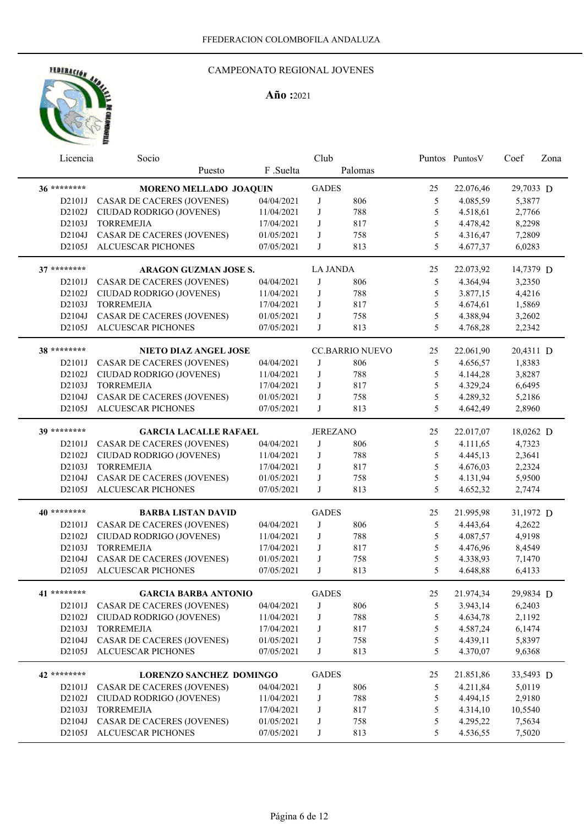

| Licencia     | Socio                             |            | Club            |                        |    | Puntos Puntos V | Coef      | Zona |
|--------------|-----------------------------------|------------|-----------------|------------------------|----|-----------------|-----------|------|
|              | Puesto                            | F .Suelta  |                 | Palomas                |    |                 |           |      |
| 36 ********* | <b>MORENO MELLADO JOAQUIN</b>     |            | <b>GADES</b>    |                        | 25 | 22.076,46       | 29,7033 D |      |
| D2101J       | <b>CASAR DE CACERES (JOVENES)</b> | 04/04/2021 | J               | 806                    | 5  | 4.085,59        | 5,3877    |      |
| D2102J       | CIUDAD RODRIGO (JOVENES)          | 11/04/2021 | J               | 788                    | 5  | 4.518,61        | 2,7766    |      |
| D2103J       | <b>TORREMEJIA</b>                 | 17/04/2021 | J               | 817                    | 5  | 4.478,42        | 8,2298    |      |
| D2104J       | CASAR DE CACERES (JOVENES)        | 01/05/2021 | J               | 758                    | 5  | 4.316,47        | 7,2809    |      |
| D2105J       | <b>ALCUESCAR PICHONES</b>         | 07/05/2021 | J               | 813                    | 5  | 4.677,37        | 6,0283    |      |
|              |                                   |            |                 |                        |    |                 |           |      |
| $37******$   | <b>ARAGON GUZMAN JOSE S.</b>      |            | <b>LA JANDA</b> |                        | 25 | 22.073,92       | 14,7379 D |      |
| D2101J       | <b>CASAR DE CACERES (JOVENES)</b> | 04/04/2021 | $_{\rm J}$      | 806                    | 5  | 4.364,94        | 3,2350    |      |
| D2102J       | CIUDAD RODRIGO (JOVENES)          | 11/04/2021 | J               | 788                    | 5  | 3.877,15        | 4,4216    |      |
| D2103J       | <b>TORREMEJIA</b>                 | 17/04/2021 | J               | 817                    | 5  | 4.674,61        | 1,5869    |      |
| D2104J       | CASAR DE CACERES (JOVENES)        | 01/05/2021 | J               | 758                    | 5  | 4.388,94        | 3,2602    |      |
| D2105J       | ALCUESCAR PICHONES                | 07/05/2021 | J               | 813                    | 5  | 4.768,28        | 2,2342    |      |
| 38 ********* | <b>NIETO DIAZ ANGEL JOSE</b>      |            |                 | <b>CC.BARRIO NUEVO</b> | 25 | 22.061,90       | 20,4311 D |      |
| D2101J       | <b>CASAR DE CACERES (JOVENES)</b> | 04/04/2021 | J               | 806                    | 5  | 4.656,57        | 1,8383    |      |
| D2102J       | CIUDAD RODRIGO (JOVENES)          | 11/04/2021 | J               | 788                    | 5  | 4.144,28        | 3,8287    |      |
| D2103J       | <b>TORREMEJIA</b>                 | 17/04/2021 | J               | 817                    | 5  | 4.329,24        | 6,6495    |      |
| D2104J       | CASAR DE CACERES (JOVENES)        | 01/05/2021 | J               | 758                    | 5  | 4.289,32        | 5,2186    |      |
| D2105J       | <b>ALCUESCAR PICHONES</b>         | 07/05/2021 | J               | 813                    | 5  | 4.642,49        | 2,8960    |      |
|              |                                   |            |                 |                        |    |                 |           |      |
| 39 ********  | <b>GARCIA LACALLE RAFAEL</b>      |            |                 | <b>JEREZANO</b>        | 25 | 22.017,07       | 18,0262 D |      |
| D2101J       | <b>CASAR DE CACERES (JOVENES)</b> | 04/04/2021 | J               | 806                    | 5  | 4.111,65        | 4,7323    |      |
| D2102J       | CIUDAD RODRIGO (JOVENES)          | 11/04/2021 | J               | 788                    | 5  | 4.445,13        | 2,3641    |      |
| D2103J       | <b>TORREMEJIA</b>                 | 17/04/2021 | J               | 817                    | 5  | 4.676,03        | 2,2324    |      |
| D2104J       | <b>CASAR DE CACERES (JOVENES)</b> | 01/05/2021 | J               | 758                    | 5  | 4.131,94        | 5,9500    |      |
| D2105J       | <b>ALCUESCAR PICHONES</b>         | 07/05/2021 | J               | 813                    | 5  | 4.652,32        | 2,7474    |      |
|              |                                   |            |                 |                        |    |                 |           |      |
| 40 ********  | <b>BARBA LISTAN DAVID</b>         |            | <b>GADES</b>    |                        | 25 | 21.995,98       | 31,1972 D |      |
| D2101J       | <b>CASAR DE CACERES (JOVENES)</b> | 04/04/2021 | J               | 806                    | 5  | 4.443,64        | 4,2622    |      |
| D2102J       | CIUDAD RODRIGO (JOVENES)          | 11/04/2021 | J               | 788                    | 5  | 4.087,57        | 4,9198    |      |
| D2103J       | <b>TORREMEJIA</b>                 | 17/04/2021 | J               | 817                    | 5  | 4.476,96        | 8,4549    |      |
| D2104J       | CASAR DE CACERES (JOVENES)        | 01/05/2021 | J               | 758                    | 5  | 4.338,93        | 7,1470    |      |
| D2105J       | <b>ALCUESCAR PICHONES</b>         | 07/05/2021 | J               | 813                    | 5  | 4.648,88        | 6,4133    |      |
| 41 ********  | <b>GARCIA BARBA ANTONIO</b>       |            | <b>GADES</b>    |                        | 25 | 21.974,34       | 29,9834 D |      |
| D2101J       | <b>CASAR DE CACERES (JOVENES)</b> | 04/04/2021 | J               | 806                    | 5  | 3.943,14        | 6,2403    |      |
| D2102J       | CIUDAD RODRIGO (JOVENES)          | 11/04/2021 | J               | 788                    | 5  | 4.634,78        | 2,1192    |      |
| D2103J       | <b>TORREMEJIA</b>                 | 17/04/2021 | J               | 817                    | 5  | 4.587,24        | 6,1474    |      |
| D2104J       | CASAR DE CACERES (JOVENES)        | 01/05/2021 | J               | 758                    | 5  | 4.439,11        | 5,8397    |      |
| D2105J       | ALCUESCAR PICHONES                | 07/05/2021 | J               | 813                    | 5  | 4.370,07        | 9,6368    |      |
|              |                                   |            |                 |                        |    |                 |           |      |
| 42 ********  | <b>LORENZO SANCHEZ DOMINGO</b>    |            | <b>GADES</b>    |                        | 25 | 21.851,86       | 33,5493 D |      |
| D2101J       | <b>CASAR DE CACERES (JOVENES)</b> | 04/04/2021 | J               | 806                    | 5  | 4.211,84        | 5,0119    |      |
| D2102J       | CIUDAD RODRIGO (JOVENES)          | 11/04/2021 | J               | 788                    | 5  | 4.494,15        | 2,9180    |      |
| D2103J       | <b>TORREMEJIA</b>                 | 17/04/2021 | J               | 817                    | 5  | 4.314,10        | 10,5540   |      |
| D2104J       | CASAR DE CACERES (JOVENES)        | 01/05/2021 | J               | 758                    | 5  | 4.295,22        | 7,5634    |      |
| D2105J       | ALCUESCAR PICHONES                | 07/05/2021 | J               | 813                    | 5  | 4.536,55        | 7,5020    |      |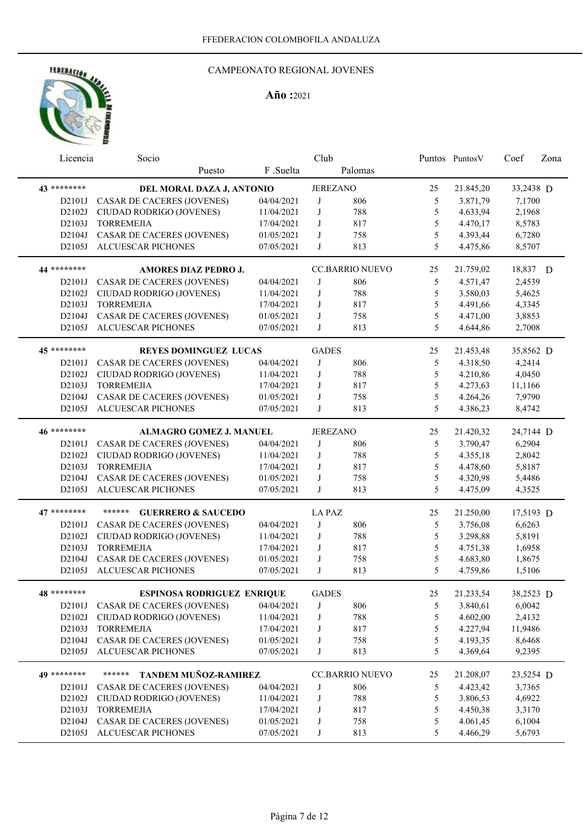

| Licencia     | Socio                                   |            | Club            |                        |               | Puntos Puntos V | Coef      | Zona |
|--------------|-----------------------------------------|------------|-----------------|------------------------|---------------|-----------------|-----------|------|
|              | Puesto                                  | F.Suelta   |                 | Palomas                |               |                 |           |      |
| 43 ********* | DEL MORAL DAZA J, ANTONIO               |            | <b>JEREZANO</b> |                        | 25            | 21.845,20       | 33,2438 D |      |
| D2101J       | <b>CASAR DE CACERES (JOVENES)</b>       | 04/04/2021 | J               | 806                    | 5             | 3.871,79        | 7,1700    |      |
| D2102J       | CIUDAD RODRIGO (JOVENES)                | 11/04/2021 | J               | 788                    | 5             | 4.633,94        | 2,1968    |      |
| D2103J       | <b>TORREMEJIA</b>                       | 17/04/2021 | J               | 817                    | 5             | 4.470,17        | 8,5783    |      |
| D2104J       | <b>CASAR DE CACERES (JOVENES)</b>       | 01/05/2021 | J               | 758                    | 5             | 4.393,44        | 6,7280    |      |
| D2105J       | ALCUESCAR PICHONES                      | 07/05/2021 | J               | 813                    | 5             | 4.475,86        | 8,5707    |      |
| 44 ********* | <b>AMORES DIAZ PEDRO J.</b>             |            |                 | <b>CC.BARRIO NUEVO</b> | 25            | 21.759,02       | 18,837 D  |      |
| D2101J       | <b>CASAR DE CACERES (JOVENES)</b>       | 04/04/2021 | J               | 806                    | 5             | 4.571,47        | 2,4539    |      |
| D2102J       | CIUDAD RODRIGO (JOVENES)                | 11/04/2021 | J               | 788                    | 5             | 3.580,03        | 5,4625    |      |
| D2103J       | <b>TORREMEJIA</b>                       | 17/04/2021 | J               | 817                    | $\mathfrak s$ | 4.491,66        | 4,3345    |      |
| D2104J       |                                         | 01/05/2021 | J               | 758                    | 5             | 4.471,00        |           |      |
|              | CASAR DE CACERES (JOVENES)              |            | J               |                        | 5             |                 | 3,8853    |      |
| D2105J       | ALCUESCAR PICHONES                      | 07/05/2021 |                 | 813                    |               | 4.644,86        | 2,7008    |      |
| 45 ********  | <b>REYES DOMINGUEZ LUCAS</b>            |            | <b>GADES</b>    |                        | 25            | 21.453,48       | 35,8562 D |      |
| D2101J       | <b>CASAR DE CACERES (JOVENES)</b>       | 04/04/2021 | J               | 806                    | 5             | 4.318,50        | 4,2414    |      |
| D2102J       | CIUDAD RODRIGO (JOVENES)                | 11/04/2021 | J               | 788                    | 5             | 4.210,86        | 4,0450    |      |
| D2103J       | <b>TORREMEJIA</b>                       | 17/04/2021 | J               | 817                    | 5             | 4.273,63        | 11,1166   |      |
| D2104J       | <b>CASAR DE CACERES (JOVENES)</b>       | 01/05/2021 | J               | 758                    | 5             | 4.264,26        | 7,9790    |      |
| D2105J       | <b>ALCUESCAR PICHONES</b>               | 07/05/2021 | J               | 813                    | 5             | 4.386,23        | 8,4742    |      |
| 46 ********  | <b>ALMAGRO GOMEZ J. MANUEL</b>          |            | <b>JEREZANO</b> |                        | 25            | 21.420,32       | 24,7144 D |      |
| D2101J       | <b>CASAR DE CACERES (JOVENES)</b>       | 04/04/2021 | J               | 806                    | 5             | 3.790,47        | 6,2904    |      |
| D2102J       | CIUDAD RODRIGO (JOVENES)                | 11/04/2021 | J               | 788                    | 5             | 4.355,18        | 2,8042    |      |
| D2103J       | <b>TORREMEJIA</b>                       | 17/04/2021 | J               | 817                    | 5             | 4.478,60        | 5,8187    |      |
| D2104J       | <b>CASAR DE CACERES (JOVENES)</b>       | 01/05/2021 | J               | 758                    | 5             | 4.320,98        | 5,4486    |      |
| D2105J       | ALCUESCAR PICHONES                      | 07/05/2021 | J               | 813                    | 5             | 4.475,09        | 4,3525    |      |
|              |                                         |            |                 |                        |               |                 |           |      |
| 47 ********  | ******<br><b>GUERRERO &amp; SAUCEDO</b> |            | <b>LA PAZ</b>   |                        | 25            | 21.250,00       | 17,5193 D |      |
| D2101J       | CASAR DE CACERES (JOVENES)              | 04/04/2021 | J               | 806                    | 5             | 3.756,08        | 6,6263    |      |
| D2102J       | CIUDAD RODRIGO (JOVENES)                | 11/04/2021 | J               | 788                    | 5             | 3.298,88        | 5,8191    |      |
| D2103J       | <b>TORREMEJIA</b>                       | 17/04/2021 | J               | 817                    | 5             | 4.751,38        | 1,6958    |      |
| D2104J       | <b>CASAR DE CACERES (JOVENES)</b>       | 01/05/2021 | J               | 758                    | 5             | 4.683,80        | 1,8675    |      |
| D2105J       | <b>ALCUESCAR PICHONES</b>               | 07/05/2021 | J               | 813                    | 5             | 4.759,86        | 1,5106    |      |
| 48 ********  | <b>ESPINOSA RODRIGUEZ ENRIQUE</b>       |            | <b>GADES</b>    |                        | 25            | 21.233,54       | 38,2523 D |      |
| D2101J       | <b>CASAR DE CACERES (JOVENES)</b>       | 04/04/2021 | J               | 806                    | 5             | 3.840,61        | 6,0042    |      |
| D2102J       | CIUDAD RODRIGO (JOVENES)                | 11/04/2021 | J               | 788                    | $\mathfrak s$ | 4.602,00        | 2,4132    |      |
| D2103J       | <b>TORREMEJIA</b>                       | 17/04/2021 | J               | 817                    | 5             | 4.227,94        | 11,9486   |      |
| D2104J       | CASAR DE CACERES (JOVENES)              | 01/05/2021 | J               | 758                    | 5             | 4.193,35        | 8,6468    |      |
| D2105J       | <b>ALCUESCAR PICHONES</b>               | 07/05/2021 | J               | 813                    | 5             | 4.369,64        | 9,2395    |      |
| 49 ********  | ******                                  |            |                 |                        |               |                 |           |      |
|              | TANDEM MUÑOZ-RAMIREZ                    |            |                 | <b>CC.BARRIO NUEVO</b> | 25            | 21.208,07       | 23,5254 D |      |
| D2101J       | <b>CASAR DE CACERES (JOVENES)</b>       | 04/04/2021 | J               | 806                    | 5             | 4.423,42        | 3,7365    |      |
| D2102J       | CIUDAD RODRIGO (JOVENES)                | 11/04/2021 | J               | 788                    | 5             | 3.806,53        | 4,6922    |      |
| D2103J       | <b>TORREMEJIA</b>                       | 17/04/2021 | J               | 817                    | 5             | 4.450,38        | 3,3170    |      |
| D2104J       | <b>CASAR DE CACERES (JOVENES)</b>       | 01/05/2021 | J               | 758                    | 5             | 4.061,45        | 6,1004    |      |
| D2105J       | ALCUESCAR PICHONES                      | 07/05/2021 | J               | 813                    | 5             | 4.466,29        | 5,6793    |      |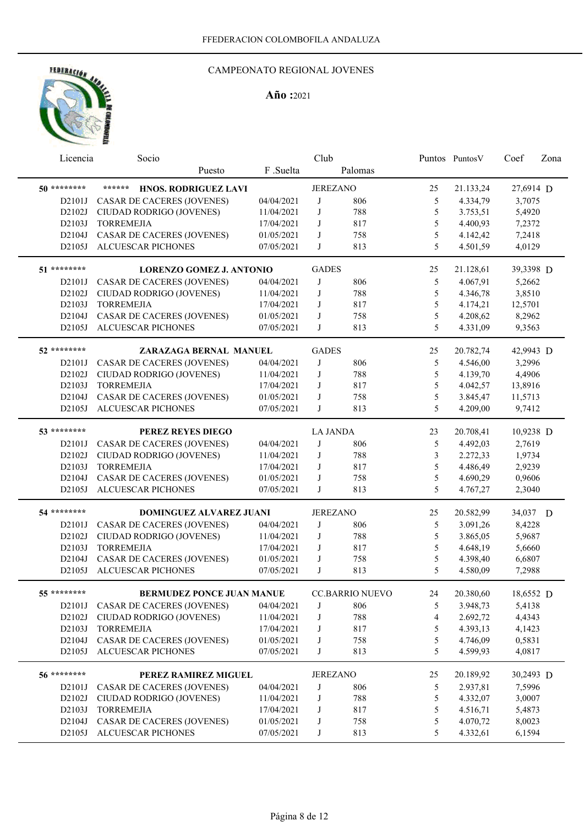

| Licencia    | Socio                             |            | Club            |                        |               | Puntos PuntosV | Coef      | Zona |
|-------------|-----------------------------------|------------|-----------------|------------------------|---------------|----------------|-----------|------|
|             | Puesto                            | F .Suelta  |                 | Palomas                |               |                |           |      |
| 50 ******** | ******<br>HNOS. RODRIGUEZ LAVI    |            |                 | <b>JEREZANO</b>        | 25            | 21.133,24      | 27,6914 D |      |
| D2101J      | CASAR DE CACERES (JOVENES)        | 04/04/2021 | J               | 806                    | 5             | 4.334,79       | 3,7075    |      |
| D2102J      | CIUDAD RODRIGO (JOVENES)          | 11/04/2021 | J               | 788                    | 5             | 3.753,51       | 5,4920    |      |
| D2103J      | <b>TORREMEJIA</b>                 | 17/04/2021 | J               | 817                    | 5             | 4.400,93       | 7,2372    |      |
| D2104J      | <b>CASAR DE CACERES (JOVENES)</b> | 01/05/2021 | J               | 758                    | 5             | 4.142,42       | 7,2418    |      |
| D2105J      | ALCUESCAR PICHONES                | 07/05/2021 | J               | 813                    | 5             | 4.501,59       | 4,0129    |      |
|             |                                   |            |                 |                        |               |                |           |      |
| 51 ******** | <b>LORENZO GOMEZ J. ANTONIO</b>   |            | <b>GADES</b>    |                        | 25            | 21.128,61      | 39,3398 D |      |
| D2101J      | <b>CASAR DE CACERES (JOVENES)</b> | 04/04/2021 | J               | 806                    | 5             | 4.067,91       | 5,2662    |      |
| D2102J      | CIUDAD RODRIGO (JOVENES)          | 11/04/2021 | J               | 788                    | $\mathfrak s$ | 4.346,78       | 3,8510    |      |
| D2103J      | <b>TORREMEJIA</b>                 | 17/04/2021 | J               | 817                    | 5             | 4.174,21       | 12,5701   |      |
| D2104J      | <b>CASAR DE CACERES (JOVENES)</b> | 01/05/2021 | J               | 758                    | 5             | 4.208,62       | 8,2962    |      |
| D2105J      | ALCUESCAR PICHONES                | 07/05/2021 | J               | 813                    | 5             | 4.331,09       | 9,3563    |      |
| 52 ******** | ZARAZAGA BERNAL MANUEL            |            | <b>GADES</b>    |                        | 25            | 20.782,74      | 42,9943 D |      |
| D2101J      | CASAR DE CACERES (JOVENES)        | 04/04/2021 | J               | 806                    | 5             | 4.546,00       | 3,2996    |      |
| D2102J      | CIUDAD RODRIGO (JOVENES)          | 11/04/2021 | J               | 788                    | 5             | 4.139,70       | 4,4906    |      |
| D2103J      | <b>TORREMEJIA</b>                 | 17/04/2021 | J               | 817                    | 5             | 4.042,57       | 13,8916   |      |
| D2104J      | <b>CASAR DE CACERES (JOVENES)</b> | 01/05/2021 | J               | 758                    | 5             | 3.845,47       | 11,5713   |      |
| D2105J      | ALCUESCAR PICHONES                | 07/05/2021 | J               | 813                    | 5             | 4.209,00       | 9,7412    |      |
|             |                                   |            |                 |                        |               |                |           |      |
| 53 ******** | PEREZ REYES DIEGO                 |            | <b>LA JANDA</b> |                        | 23            | 20.708,41      | 10,9238 D |      |
| D2101J      | <b>CASAR DE CACERES (JOVENES)</b> | 04/04/2021 | J               | 806                    | 5             | 4.492,03       | 2,7619    |      |
| D2102J      | CIUDAD RODRIGO (JOVENES)          | 11/04/2021 | J               | 788                    | 3             | 2.272,33       | 1,9734    |      |
| D2103J      | <b>TORREMEJIA</b>                 | 17/04/2021 | J               | 817                    | 5             | 4.486,49       | 2,9239    |      |
| D2104J      | <b>CASAR DE CACERES (JOVENES)</b> | 01/05/2021 | J               | 758                    | 5             | 4.690,29       | 0,9606    |      |
| D2105J      | <b>ALCUESCAR PICHONES</b>         | 07/05/2021 | J               | 813                    | 5             | 4.767,27       | 2,3040    |      |
| 54 ******** | <b>DOMINGUEZ ALVAREZ JUANI</b>    |            |                 | <b>JEREZANO</b>        | 25            | 20.582,99      | 34,037 D  |      |
| D2101J      | <b>CASAR DE CACERES (JOVENES)</b> | 04/04/2021 | J               | 806                    | 5             | 3.091,26       | 8,4228    |      |
| D2102J      | CIUDAD RODRIGO (JOVENES)          | 11/04/2021 | J               | 788                    | 5             | 3.865,05       | 5,9687    |      |
| D2103J      | <b>TORREMEJIA</b>                 | 17/04/2021 | J               | 817                    | 5             | 4.648,19       | 5,6660    |      |
| D2104J      | <b>CASAR DE CACERES (JOVENES)</b> | 01/05/2021 | $_{\rm J}$      | 758                    | 5             | 4.398,40       | 6,6807    |      |
| D2105J      | <b>ALCUESCAR PICHONES</b>         | 07/05/2021 | J               | 813                    | 5             | 4.580,09       | 7,2988    |      |
|             |                                   |            |                 |                        |               |                |           |      |
| 55 ******** | <b>BERMUDEZ PONCE JUAN MANUE</b>  |            |                 | <b>CC.BARRIO NUEVO</b> | 24            | 20.380,60      | 18,6552 D |      |
|             | D2101J CASAR DE CACERES (JOVENES) | 04/04/2021 | J               | 806                    | 5             | 3.948,73       | 5,4138    |      |
| D2102J      | CIUDAD RODRIGO (JOVENES)          | 11/04/2021 | J               | 788                    | 4             | 2.692,72       | 4,4343    |      |
| D2103J      | <b>TORREMEJIA</b>                 | 17/04/2021 | J               | 817                    | 5             | 4.393,13       | 4,1423    |      |
| D2104J      | CASAR DE CACERES (JOVENES)        | 01/05/2021 | J               | 758                    | 5             | 4.746,09       | 0,5831    |      |
| D2105J      | <b>ALCUESCAR PICHONES</b>         | 07/05/2021 | J               | 813                    | 5             | 4.599,93       | 4,0817    |      |
| 56 ******** | PEREZ RAMIREZ MIGUEL              |            |                 | <b>JEREZANO</b>        | 25            | 20.189,92      | 30,2493 D |      |
| D2101J      | <b>CASAR DE CACERES (JOVENES)</b> | 04/04/2021 | J               | 806                    | 5             | 2.937,81       | 7,5996    |      |
| D2102J      | CIUDAD RODRIGO (JOVENES)          | 11/04/2021 | J               | 788                    | 5             | 4.332,07       | 3,0007    |      |
| D2103J      | <b>TORREMEJIA</b>                 | 17/04/2021 | J               | 817                    | 5             | 4.516,71       | 5,4873    |      |
| D2104J      | CASAR DE CACERES (JOVENES)        | 01/05/2021 | J               | 758                    | 5             | 4.070,72       | 8,0023    |      |
| D2105J      | ALCUESCAR PICHONES                | 07/05/2021 | J               | 813                    | 5             | 4.332,61       | 6,1594    |      |
|             |                                   |            |                 |                        |               |                |           |      |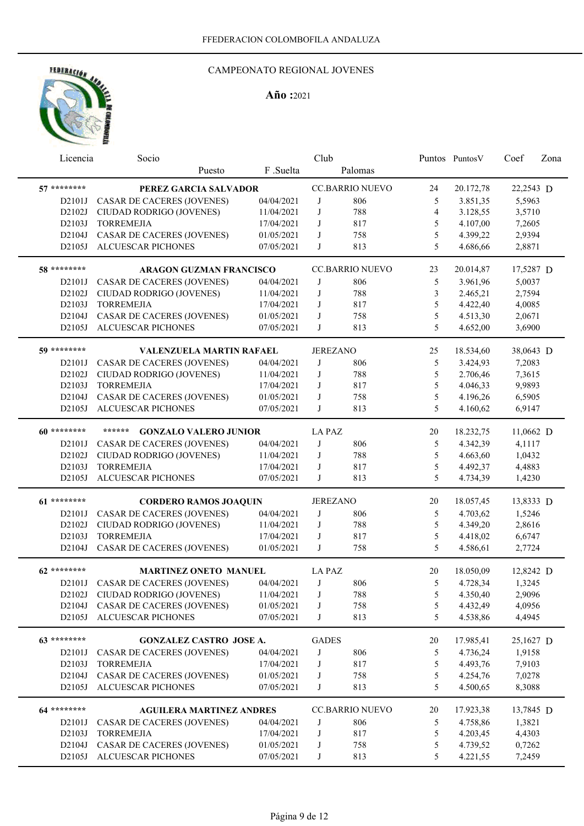

|              | Licencia                         | Socio                                  |            | Club            |                        |                | Puntos Puntos V | Coef      | Zona |
|--------------|----------------------------------|----------------------------------------|------------|-----------------|------------------------|----------------|-----------------|-----------|------|
|              |                                  | Puesto                                 | F .Suelta  |                 | Palomas                |                |                 |           |      |
| 57 ********  |                                  | PEREZ GARCIA SALVADOR                  |            |                 | <b>CC.BARRIO NUEVO</b> | 24             | 20.172,78       | 22,2543 D |      |
|              | D2101J                           | CASAR DE CACERES (JOVENES)             | 04/04/2021 | J               | 806                    | 5              | 3.851,35        | 5,5963    |      |
|              | D2102J                           | CIUDAD RODRIGO (JOVENES)               | 11/04/2021 | J               | 788                    | $\overline{4}$ | 3.128,55        | 3,5710    |      |
|              | D2103J                           | <b>TORREMEJIA</b>                      | 17/04/2021 | J               | 817                    | 5              | 4.107,00        | 7,2605    |      |
|              | D2104J                           | CASAR DE CACERES (JOVENES)             | 01/05/2021 | J               | 758                    | 5              | 4.399,22        | 2,9394    |      |
|              | D2105J                           | ALCUESCAR PICHONES                     | 07/05/2021 | J               | 813                    | 5              | 4.686,66        | 2,8871    |      |
| 58 ********* |                                  | <b>ARAGON GUZMAN FRANCISCO</b>         |            |                 | <b>CC.BARRIO NUEVO</b> | 23             | 20.014,87       | 17,5287 D |      |
|              | D2101J                           | <b>CASAR DE CACERES (JOVENES)</b>      | 04/04/2021 | J               | 806                    | 5              | 3.961,96        | 5,0037    |      |
|              | D2102J                           | CIUDAD RODRIGO (JOVENES)               | 11/04/2021 | J               | 788                    | 3              | 2.465,21        | 2,7594    |      |
|              | D2103J                           | <b>TORREMEJIA</b>                      | 17/04/2021 | J               | 817                    | 5              | 4.422,40        | 4,0085    |      |
|              | D2104J                           | CASAR DE CACERES (JOVENES)             | 01/05/2021 | J               | 758                    | $\mathfrak s$  | 4.513,30        | 2,0671    |      |
|              | D2105J                           | ALCUESCAR PICHONES                     | 07/05/2021 | J               | 813                    | 5              | 4.652,00        | 3,6900    |      |
| 59 ********* |                                  | <b>VALENZUELA MARTIN RAFAEL</b>        |            | <b>JEREZANO</b> |                        | 25             | 18.534,60       | 38,0643 D |      |
|              | D2101J                           | CASAR DE CACERES (JOVENES)             | 04/04/2021 | J               | 806                    | 5              | 3.424,93        | 7,2083    |      |
|              | D2102J                           | CIUDAD RODRIGO (JOVENES)               | 11/04/2021 | J               | 788                    | 5              | 2.706,46        | 7,3615    |      |
|              | D2103J                           | <b>TORREMEJIA</b>                      | 17/04/2021 | J               | 817                    | 5              | 4.046,33        | 9,9893    |      |
|              | D2104J                           | CASAR DE CACERES (JOVENES)             | 01/05/2021 | J               | 758                    | 5              | 4.196,26        | 6,5905    |      |
|              | D2105J                           | ALCUESCAR PICHONES                     | 07/05/2021 | J               | 813                    | 5              | 4.160,62        | 6,9147    |      |
| 60 ********* |                                  | ******<br><b>GONZALO VALERO JUNIOR</b> |            | <b>LA PAZ</b>   |                        | 20             | 18.232,75       | 11,0662 D |      |
|              | D2101J                           | CASAR DE CACERES (JOVENES)             | 04/04/2021 | J               | 806                    | 5              | 4.342,39        | 4,1117    |      |
|              | D2102J                           | CIUDAD RODRIGO (JOVENES)               | 11/04/2021 | J               | 788                    | 5              | 4.663,60        | 1,0432    |      |
|              | D2103J                           | <b>TORREMEJIA</b>                      | 17/04/2021 | J               | 817                    | 5              | 4.492,37        | 4,4883    |      |
|              | D2105J                           | <b>ALCUESCAR PICHONES</b>              | 07/05/2021 | J               | 813                    | 5              | 4.734,39        | 1,4230    |      |
| 61 ********  |                                  | <b>CORDERO RAMOS JOAQUIN</b>           |            | <b>JEREZANO</b> |                        | 20             | 18.057,45       | 13,8333 D |      |
|              | D2101J                           | <b>CASAR DE CACERES (JOVENES)</b>      | 04/04/2021 | J               | 806                    | 5              | 4.703,62        | 1,5246    |      |
|              | D2102J                           | CIUDAD RODRIGO (JOVENES)               | 11/04/2021 | J               | 788                    | 5              | 4.349,20        | 2,8616    |      |
|              | D2103J                           | <b>TORREMEJIA</b>                      | 17/04/2021 | J               | 817                    | 5              | 4.418,02        | 6,6747    |      |
|              | D2104J                           | CASAR DE CACERES (JOVENES)             | 01/05/2021 | J               | 758                    | 5              | 4.586,61        | 2,7724    |      |
| 62 ********  |                                  | <b>MARTINEZ ONETO MANUEL</b>           |            | <b>LA PAZ</b>   |                        | 20             | 18.050,09       | 12,8242 D |      |
|              | D2101J                           | CASAR DE CACERES (JOVENES)             | 04/04/2021 | J               | 806                    | 5              | 4.728,34        | 1,3245    |      |
|              | D <sub>2</sub> 10 <sub>2</sub> J | CIUDAD RODRIGO (JOVENES)               | 11/04/2021 | J               | 788                    | 5              | 4.350,40        | 2,9096    |      |
|              | D2104J                           | CASAR DE CACERES (JOVENES)             | 01/05/2021 | J               | 758                    | 5              | 4.432,49        | 4,0956    |      |
|              | D2105J                           | ALCUESCAR PICHONES                     | 07/05/2021 | J               | 813                    | 5              | 4.538,86        | 4,4945    |      |
| 63 ********* |                                  | GONZALEZ CASTRO JOSE A.                |            | <b>GADES</b>    |                        | 20             | 17.985,41       | 25,1627 D |      |
|              | D2101J                           | <b>CASAR DE CACERES (JOVENES)</b>      | 04/04/2021 | J               | 806                    | 5              | 4.736,24        | 1,9158    |      |
|              | D2103J                           | <b>TORREMEJIA</b>                      | 17/04/2021 | J               | 817                    | $\mathfrak s$  | 4.493,76        | 7,9103    |      |
|              | D2104J                           | CASAR DE CACERES (JOVENES)             | 01/05/2021 | J               | 758                    | 5              | 4.254,76        | 7,0278    |      |
|              | D2105J                           | ALCUESCAR PICHONES                     | 07/05/2021 | J               | 813                    | 5              | 4.500,65        | 8,3088    |      |
| 64 ********  |                                  | <b>AGUILERA MARTINEZ ANDRES</b>        |            |                 | <b>CC.BARRIO NUEVO</b> | 20             | 17.923,38       | 13,7845 D |      |
|              | D2101J                           | CASAR DE CACERES (JOVENES)             | 04/04/2021 | J               | 806                    | 5              | 4.758,86        | 1,3821    |      |
|              | D2103J                           | <b>TORREMEJIA</b>                      | 17/04/2021 | $_{\rm J}$      | 817                    | $\mathfrak s$  | 4.203,45        | 4,4303    |      |
|              | D2104J                           | CASAR DE CACERES (JOVENES)             | 01/05/2021 | J               | 758                    | $\mathfrak s$  | 4.739,52        | 0,7262    |      |
|              | D2105J                           | ALCUESCAR PICHONES                     | 07/05/2021 | J               | 813                    | 5              | 4.221,55        | 7,2459    |      |
|              |                                  |                                        |            |                 |                        |                |                 |           |      |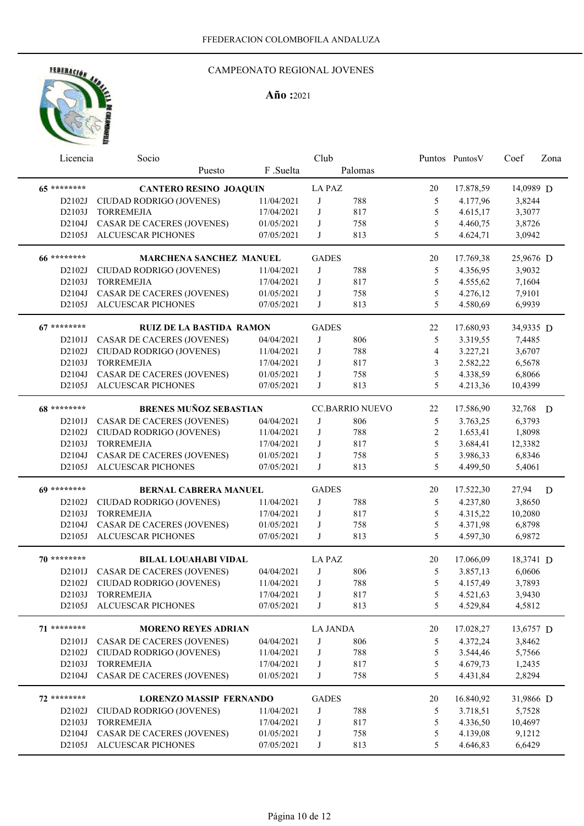

| Licencia     | Socio                             |            | Club            |                        |                | Puntos Puntos V | Coef      | Zona |
|--------------|-----------------------------------|------------|-----------------|------------------------|----------------|-----------------|-----------|------|
|              | Puesto                            | F .Suelta  |                 | Palomas                |                |                 |           |      |
| 65 ********  | <b>CANTERO RESINO JOAQUIN</b>     |            | <b>LA PAZ</b>   |                        | 20             | 17.878,59       | 14,0989 D |      |
| D2102J       | CIUDAD RODRIGO (JOVENES)          | 11/04/2021 | J               | 788                    | 5              | 4.177,96        | 3,8244    |      |
| D2103J       | <b>TORREMEJIA</b>                 | 17/04/2021 | J               | 817                    | 5              | 4.615,17        | 3,3077    |      |
| D2104J       | <b>CASAR DE CACERES (JOVENES)</b> | 01/05/2021 | J               | 758                    | 5              | 4.460,75        | 3,8726    |      |
| D2105J       | <b>ALCUESCAR PICHONES</b>         | 07/05/2021 | J               | 813                    | 5              | 4.624,71        | 3,0942    |      |
|              |                                   |            |                 |                        |                |                 |           |      |
| 66 ********* | <b>MARCHENA SANCHEZ MANUEL</b>    |            | <b>GADES</b>    |                        | 20             | 17.769,38       | 25,9676 D |      |
| D2102J       | CIUDAD RODRIGO (JOVENES)          | 11/04/2021 | J               | 788                    | 5              | 4.356,95        | 3,9032    |      |
| D2103J       | <b>TORREMEJIA</b>                 | 17/04/2021 | J               | 817                    | 5              | 4.555,62        | 7,1604    |      |
| D2104J       | <b>CASAR DE CACERES (JOVENES)</b> | 01/05/2021 | J               | 758                    | 5              | 4.276,12        | 7,9101    |      |
| D2105J       | ALCUESCAR PICHONES                | 07/05/2021 | J               | 813                    | 5              | 4.580,69        | 6,9939    |      |
| 67 ********  | <b>RUIZ DE LA BASTIDA RAMON</b>   |            | <b>GADES</b>    |                        | 22             | 17.680,93       | 34,9335 D |      |
| D2101J       | <b>CASAR DE CACERES (JOVENES)</b> | 04/04/2021 | J               | 806                    | 5              | 3.319,55        | 7,4485    |      |
| D2102J       | CIUDAD RODRIGO (JOVENES)          | 11/04/2021 | J               | 788                    | $\overline{4}$ | 3.227,21        | 3,6707    |      |
| D2103J       | <b>TORREMEJIA</b>                 | 17/04/2021 | J               | 817                    | 3              | 2.582,22        | 6,5678    |      |
| D2104J       | CASAR DE CACERES (JOVENES)        | 01/05/2021 | J               | 758                    | 5              | 4.338,59        | 6,8066    |      |
| D2105J       | ALCUESCAR PICHONES                | 07/05/2021 | J               | 813                    | 5              | 4.213,36        | 10,4399   |      |
| 68 ********* | <b>BRENES MUÑOZ SEBASTIAN</b>     |            |                 | <b>CC.BARRIO NUEVO</b> | 22             | 17.586,90       | 32,768 D  |      |
| D2101J       | <b>CASAR DE CACERES (JOVENES)</b> | 04/04/2021 | J               | 806                    | 5              | 3.763,25        | 6,3793    |      |
| D2102J       |                                   |            | J               |                        |                |                 |           |      |
|              | CIUDAD RODRIGO (JOVENES)          | 11/04/2021 |                 | 788                    | $\mathbf{2}$   | 1.653,41        | 1,8098    |      |
| D2103J       | <b>TORREMEJIA</b>                 | 17/04/2021 | J               | 817                    | 5              | 3.684,41        | 12,3382   |      |
| D2104J       | <b>CASAR DE CACERES (JOVENES)</b> | 01/05/2021 | J               | 758                    | 5<br>5         | 3.986,33        | 6,8346    |      |
| D2105J       | ALCUESCAR PICHONES                | 07/05/2021 | J               | 813                    |                | 4.499,50        | 5,4061    |      |
| 69 ********* | <b>BERNAL CABRERA MANUEL</b>      |            | <b>GADES</b>    |                        | 20             | 17.522,30       | 27,94     | D    |
| D2102J       | CIUDAD RODRIGO (JOVENES)          | 11/04/2021 | J               | 788                    | 5              | 4.237,80        | 3,8650    |      |
| D2103J       | <b>TORREMEJIA</b>                 | 17/04/2021 | J               | 817                    | 5              | 4.315,22        | 10,2080   |      |
| D2104J       | CASAR DE CACERES (JOVENES)        | 01/05/2021 | J               | 758                    | $\mathfrak s$  | 4.371,98        | 6,8798    |      |
| D2105J       | <b>ALCUESCAR PICHONES</b>         | 07/05/2021 | J               | 813                    | 5              | 4.597,30        | 6,9872    |      |
| 70 ********  | <b>BILAL LOUAHABI VIDAL</b>       |            | <b>LA PAZ</b>   |                        | 20             | 17.066,09       | 18,3741 D |      |
| D2101J       | CASAR DE CACERES (JOVENES)        | 04/04/2021 | J               | 806                    | 5              | 3.857,13        | 6,0606    |      |
| D2102J       | CIUDAD RODRIGO (JOVENES)          | 11/04/2021 | J               | 788                    | 5              | 4.157,49        | 3,7893    |      |
| D2103J       | TORREMEJIA                        | 17/04/2021 | $\mathsf{J}$    | 817                    | 5              | 4.521,63        | 3,9430    |      |
| D2105J       | <b>ALCUESCAR PICHONES</b>         | 07/05/2021 | J               | 813                    | 5              | 4.529,84        | 4,5812    |      |
| 71 ********  |                                   |            | <b>LA JANDA</b> |                        | 20             | 17.028,27       | 13,6757 D |      |
|              | <b>MORENO REYES ADRIAN</b>        |            |                 |                        |                |                 |           |      |
| D2101J       | <b>CASAR DE CACERES (JOVENES)</b> | 04/04/2021 | J               | 806                    | 5              | 4.372,24        | 3,8462    |      |
| D2102J       | CIUDAD RODRIGO (JOVENES)          | 11/04/2021 | J               | 788                    | 5              | 3.544,46        | 5,7566    |      |
| D2103J       | <b>TORREMEJIA</b>                 | 17/04/2021 | J               | 817                    | 5              | 4.679,73        | 1,2435    |      |
| D2104J       | CASAR DE CACERES (JOVENES)        | 01/05/2021 | J               | 758                    | 5              | 4.431,84        | 2,8294    |      |
| 72 ********  | <b>LORENZO MASSIP FERNANDO</b>    |            | <b>GADES</b>    |                        | 20             | 16.840,92       | 31,9866 D |      |
| D2102J       | CIUDAD RODRIGO (JOVENES)          | 11/04/2021 | J               | 788                    | 5              | 3.718,51        | 5,7528    |      |
| D2103J       | <b>TORREMEJIA</b>                 | 17/04/2021 | J               | 817                    | $\mathfrak s$  | 4.336,50        | 10,4697   |      |
| D2104J       | CASAR DE CACERES (JOVENES)        | 01/05/2021 | J               | 758                    | $\mathfrak s$  | 4.139,08        | 9,1212    |      |
| D2105J       | ALCUESCAR PICHONES                | 07/05/2021 | J               | 813                    | 5              | 4.646,83        | 6,6429    |      |
|              |                                   |            |                 |                        |                |                 |           |      |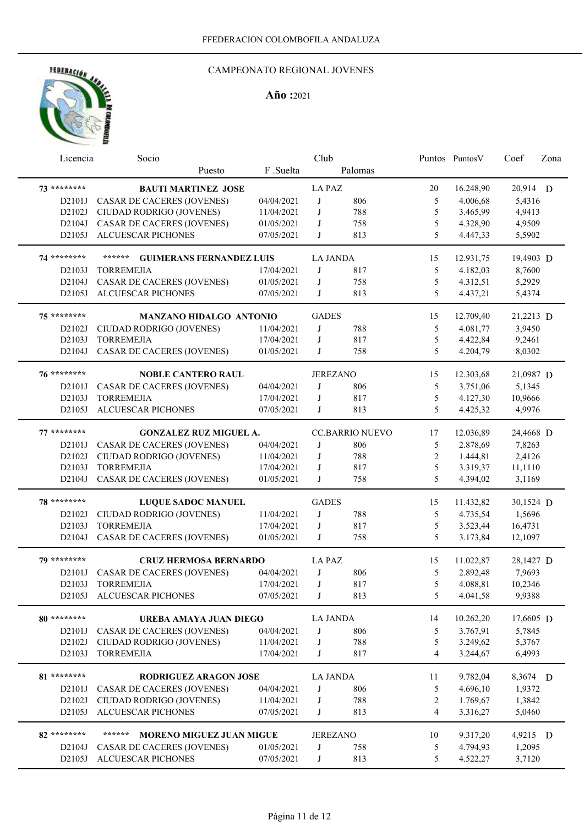

| Licencia           | Socio                                     |            | Club            |                        |                | Puntos Puntos V | Coef      | Zona |
|--------------------|-------------------------------------------|------------|-----------------|------------------------|----------------|-----------------|-----------|------|
|                    | Puesto                                    | F.Suelta   |                 | Palomas                |                |                 |           |      |
| 73 ********        | <b>BAUTI MARTINEZ JOSE</b>                |            | <b>LA PAZ</b>   |                        | 20             | 16.248,90       | 20,914 D  |      |
| D2101J             | CASAR DE CACERES (JOVENES)                | 04/04/2021 | J               | 806                    | 5              | 4.006,68        | 5,4316    |      |
| D2102J             | CIUDAD RODRIGO (JOVENES)                  | 11/04/2021 | $_{\rm J}$      | 788                    | 5              | 3.465,99        | 4,9413    |      |
| D2104J             | <b>CASAR DE CACERES (JOVENES)</b>         | 01/05/2021 | J               | 758                    | 5              | 4.328,90        | 4,9509    |      |
| D2105J             | <b>ALCUESCAR PICHONES</b>                 | 07/05/2021 | J               | 813                    | 5              | 4.447,33        | 5,5902    |      |
| 74 ********        | ******<br><b>GUIMERANS FERNANDEZ LUIS</b> |            | <b>LA JANDA</b> |                        | 15             | 12.931,75       | 19,4903 D |      |
| D2103J             | <b>TORREMEJIA</b>                         | 17/04/2021 | J               | 817                    | 5              | 4.182,03        | 8,7600    |      |
| D2104J             | CASAR DE CACERES (JOVENES)                | 01/05/2021 | J               | 758                    | $\mathfrak s$  | 4.312,51        | 5,2929    |      |
| D2105J             | ALCUESCAR PICHONES                        | 07/05/2021 | J               | 813                    | 5              | 4.437,21        | 5,4374    |      |
| 75 ********        | MANZANO HIDALGO ANTONIO                   |            | <b>GADES</b>    |                        | 15             | 12.709,40       | 21,2213 D |      |
| D2102J             | CIUDAD RODRIGO (JOVENES)                  | 11/04/2021 | J               | 788                    | 5              | 4.081,77        | 3,9450    |      |
| D2103J             | <b>TORREMEJIA</b>                         | 17/04/2021 | J               | 817                    | 5              | 4.422,84        | 9,2461    |      |
| D2104J             | <b>CASAR DE CACERES (JOVENES)</b>         | 01/05/2021 | J               | 758                    | 5              | 4.204,79        | 8,0302    |      |
| 76 ********        | <b>NOBLE CANTERO RAUL</b>                 |            |                 | <b>JEREZANO</b>        | 15             | 12.303,68       | 21,0987 D |      |
| D2101J             | <b>CASAR DE CACERES (JOVENES)</b>         | 04/04/2021 | J               | 806                    | 5              | 3.751,06        | 5,1345    |      |
| D2103J             | <b>TORREMEJIA</b>                         | 17/04/2021 | J               | 817                    | 5              | 4.127,30        | 10,9666   |      |
| D2105J             | <b>ALCUESCAR PICHONES</b>                 | 07/05/2021 | J               | 813                    | 5              | 4.425,32        | 4,9976    |      |
| $77******$         | <b>GONZALEZ RUZ MIGUEL A.</b>             |            |                 | <b>CC.BARRIO NUEVO</b> | 17             | 12.036,89       | 24,4668 D |      |
| D2101J             | <b>CASAR DE CACERES (JOVENES)</b>         | 04/04/2021 | J               | 806                    | 5              | 2.878,69        | 7,8263    |      |
| D2102J             | CIUDAD RODRIGO (JOVENES)                  | 11/04/2021 | J               | 788                    | 2              | 1.444,81        | 2,4126    |      |
| D2103J             | <b>TORREMEJIA</b>                         | 17/04/2021 | J               | 817                    | 5              | 3.319,37        | 11,1110   |      |
| D2104J             | <b>CASAR DE CACERES (JOVENES)</b>         | 01/05/2021 | J               | 758                    | 5              | 4.394,02        | 3,1169    |      |
| 78 ********        | <b>LUQUE SADOC MANUEL</b>                 |            | <b>GADES</b>    |                        | 15             | 11.432,82       | 30,1524 D |      |
| D2102J             | CIUDAD RODRIGO (JOVENES)                  | 11/04/2021 | J               | 788                    | 5              | 4.735,54        | 1,5696    |      |
| D2103J             | <b>TORREMEJIA</b>                         | 17/04/2021 | J               | 817                    | 5              | 3.523,44        | 16,4731   |      |
| D <sub>2104J</sub> | <b>CASAR DE CACERES (JOVENES)</b>         | 01/05/2021 | J               | 758                    | 5              | 3.173,84        | 12,1097   |      |
| 79 ********        | <b>CRUZ HERMOSA BERNARDO</b>              |            | <b>LA PAZ</b>   |                        | 15             | 11.022,87       | 28,1427 D |      |
| D2101J             | <b>CASAR DE CACERES (JOVENES)</b>         | 04/04/2021 | J               | 806                    | 5              | 2.892,48        | 7,9693    |      |
| D2103J             | <b>TORREMEJIA</b>                         | 17/04/2021 | J               | 817                    | 5              | 4.088,81        | 10,2346   |      |
| D2105J             | ALCUESCAR PICHONES                        | 07/05/2021 | J               | 813                    | 5              | 4.041,58        | 9,9388    |      |
| 80 *********       | UREBA AMAYA JUAN DIEGO                    |            | <b>LA JANDA</b> |                        | 14             | 10.262,20       | 17,6605 D |      |
| D2101J             | <b>CASAR DE CACERES (JOVENES)</b>         | 04/04/2021 | $_{\rm J}$      | 806                    | 5              | 3.767,91        | 5,7845    |      |
| D2102J             | CIUDAD RODRIGO (JOVENES)                  | 11/04/2021 | J               | 788                    | 5              | 3.249,62        | 5,3767    |      |
| D2103J             | <b>TORREMEJIA</b>                         | 17/04/2021 | J               | 817                    | $\overline{4}$ | 3.244,67        | 6,4993    |      |
| 81 ********        | RODRIGUEZ ARAGON JOSE                     |            | <b>LA JANDA</b> |                        | 11             | 9.782,04        | 8,3674 D  |      |
| D2101J             | <b>CASAR DE CACERES (JOVENES)</b>         | 04/04/2021 | J               | 806                    | 5              | 4.696,10        | 1,9372    |      |
| D2102J             | CIUDAD RODRIGO (JOVENES)                  | 11/04/2021 | $_{\rm J}$      | 788                    | $\overline{c}$ | 1.769,67        | 1,3842    |      |
| D2105J             | ALCUESCAR PICHONES                        | 07/05/2021 | J               | 813                    | $\overline{4}$ | 3.316,27        | 5,0460    |      |
| 82 ********        | ******<br>MORENO MIGUEZ JUAN MIGUE        |            |                 | <b>JEREZANO</b>        | 10             | 9.317,20        | 4,9215 D  |      |
| D2104J             | CASAR DE CACERES (JOVENES)                | 01/05/2021 | J               | 758                    | 5              | 4.794,93        | 1,2095    |      |
| D2105J             | ALCUESCAR PICHONES                        | 07/05/2021 | J               | 813                    | 5              | 4.522,27        | 3,7120    |      |
|                    |                                           |            |                 |                        |                |                 |           |      |